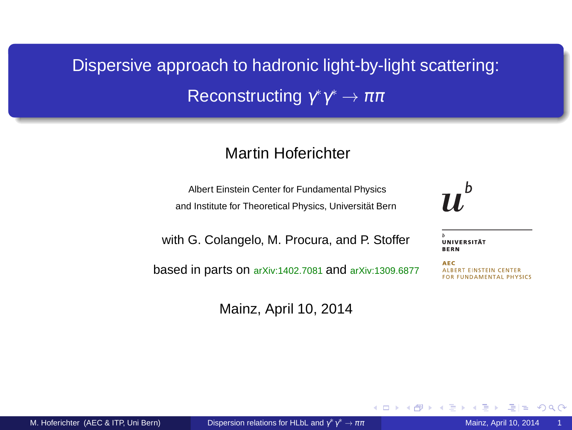# Dispersive approach to hadronic light-by-light scattering: Reconstructing  $\gamma^*\gamma^*\to\pi\pi$

#### Martin Hoferichter

Albert Einstein Center for Fundamental Physics and Institute for Theoretical Physics, Universitat Bern ¨

with G. Colangelo, M. Procura, and P. Stoffer

based in parts on arXiv:1402.7081 and arXiv:1309.6877

Mainz, April 10, 2014



UNIVERSITÄT **BERN** 

**AEC** ALBERT EINSTEIN CENTER **FOR FUNDAMENTAL PHYSICS** 

4 0 8

<span id="page-0-0"></span> $2Q$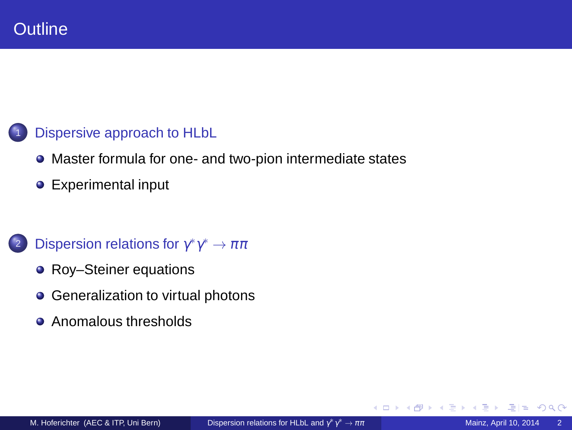### [Dispersive approach to HLbL](#page-2-0)

- [Master formula for one- and two-pion intermediate states](#page-4-0)
- **•** [Experimental input](#page-10-0)

# 2 [Dispersion relations for](#page-11-0)  $\gamma^* \gamma^* \to \pi \pi$

- [Roy–Steiner equations](#page-11-0)
- [Generalization to virtual photons](#page-15-0)
- [Anomalous thresholds](#page-20-0)  $\bullet$

4日)

 $2Q$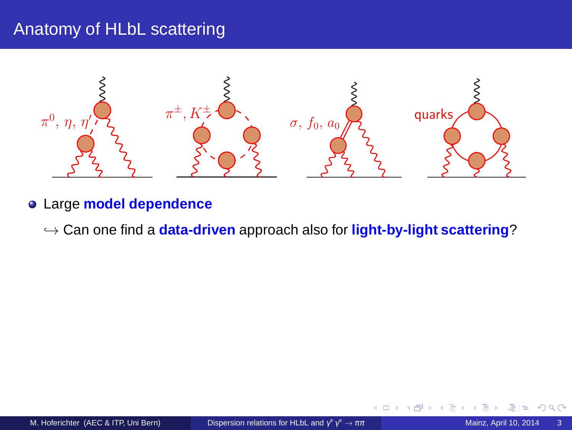# Anatomy of HLbL scattering



- Large **model dependence**
	- ֒→ Can one find a **data-driven** approach also for **light-by-light scattering**?

4日)

<span id="page-2-0"></span> $Q$  $Q$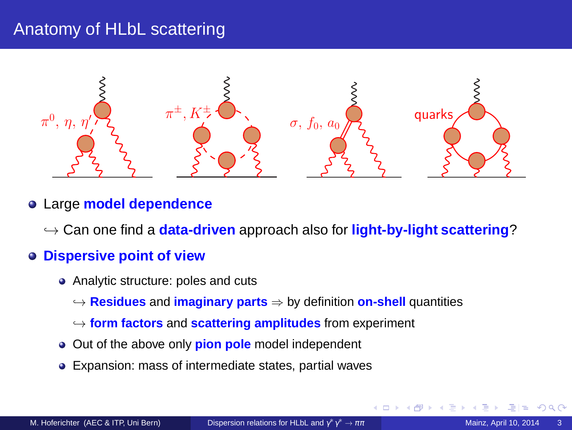# Anatomy of HLbL scattering



#### Large **model dependence**

֒→ Can one find a **data-driven** approach also for **light-by-light scattering**?

#### **Dispersive point of view**

- Analytic structure: poles and cuts
	- ֒→ **Residues** and **imaginary parts** ⇒ by definition **on-shell** quantities
	- ֒→ **form factors** and **scattering amplitudes** from experiment
- Out of the above only **pion pole** model independent
- <span id="page-3-0"></span>Expansion: mass of intermediate states, partial waves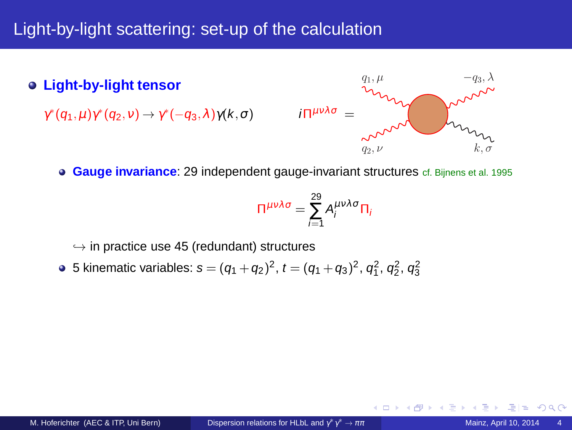# Light-by-light scattering: set-up of the calculation

**Light-by-light tensor**

 $\gamma^*(q_1,\mu)\gamma^*(q_2,\nu) \rightarrow \gamma^*(-q_3,\lambda)\gamma(k,\sigma)$  iΠ $^{\mu\nu\lambda\sigma}$  =



4 0 8

**Gauge invariance:** 29 independent gauge-invariant structures cf. Bijnens et al. 1995

$$
\Pi^{\mu\nu\lambda\sigma} = \sum_{i=1}^{29} A_i^{\mu\nu\lambda\sigma} \Pi_i
$$

 $\hookrightarrow$  in practice use 45 (redundant) structures

5 kinematic variables:  $s = (q_1 + q_2)^2$ ,  $t = (q_1 + q_3)^2$ ,  $q_1^2$ ,  $q_2^2$ ,  $q_3^2$ 

<span id="page-4-0"></span>つひへ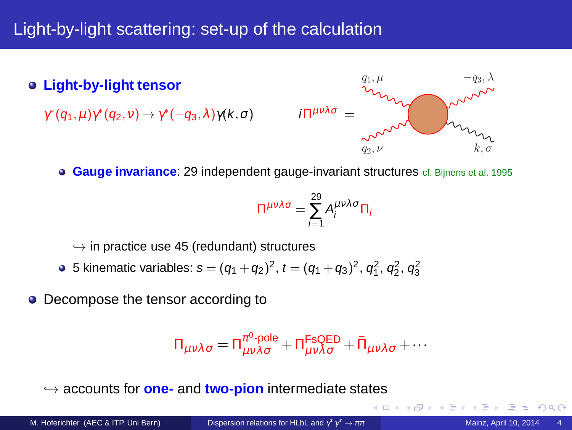# Light-by-light scattering: set-up of the calculation

**Light-by-light tensor**

 $\gamma^*(q_1,\mu)\gamma^*(q_2,\nu) \rightarrow \gamma^*(-q_3,\lambda)\gamma(k,\sigma)$  iΠ $^{\mu\nu\lambda\sigma}$  =



 $\leftarrow$   $\Box$ 

**Gauge invariance:** 29 independent gauge-invariant structures cf. Bijnens et al. 1995

$$
\Pi^{\mu\nu\lambda\sigma} = \sum_{i=1}^{29} A_i^{\mu\nu\lambda\sigma} \Pi_i
$$

 $\hookrightarrow$  in practice use 45 (redundant) structures

5 kinematic variables:  $s = (q_1 + q_2)^2$ ,  $t = (q_1 + q_3)^2$ ,  $q_1^2$ ,  $q_2^2$ ,  $q_3^2$ 

• Decompose the tensor according to

$$
\Pi_{\mu\nu\lambda\sigma} = \Pi_{\mu\nu\lambda\sigma}^{\pi^0\text{-pole}} + \Pi_{\mu\nu\lambda\sigma}^{\text{FSQED}} + \bar{\Pi}_{\mu\nu\lambda\sigma} + \cdots
$$

֒→ accounts for **one-** and **two-pion** intermediate states

 $\Omega$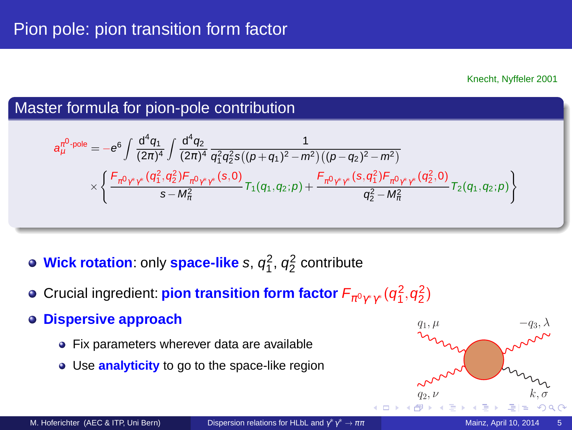## Master formula for pion-pole contribution

$$
a^{π^0\text{-pole}}_{\mu} = -e^{6} \int \frac{d^4q_1}{(2π)^4} \int \frac{d^4q_2}{(2π)^4} \frac{1}{q_1^2q_2^2s((p+q_1)^2-m^2)((p-q_2)^2-m^2)} \\ \times \left\{ \frac{F_{\pi^0\gamma^*\gamma^*}(q_1^2,q_2^2)F_{\pi^0\gamma^*\gamma^*}(s,0)}{s-M_\pi^2} T_1(q_1,q_2;p) + \frac{F_{\pi^0\gamma^*\gamma^*}(s,q_1^2)F_{\pi^0\gamma^*\gamma^*}(q_2^2,0)}{q_2^2-M_\pi^2} T_2(q_1,q_2;p) \right\}
$$

- **Wick rotation:** only space-like s,  $q_1^2$ ,  $q_2^2$  contribute
- Crucial ingredient: pion transition form factor  $\mathsf{F}_{\pi^0\gamma^*\gamma^*}(\mathsf{q}_1^2,\mathsf{q}_2^2)$
- **Dispersive approach**
	- Fix parameters wherever data are available
	- Use **analyticity** to go to the space-like region

<span id="page-6-0"></span>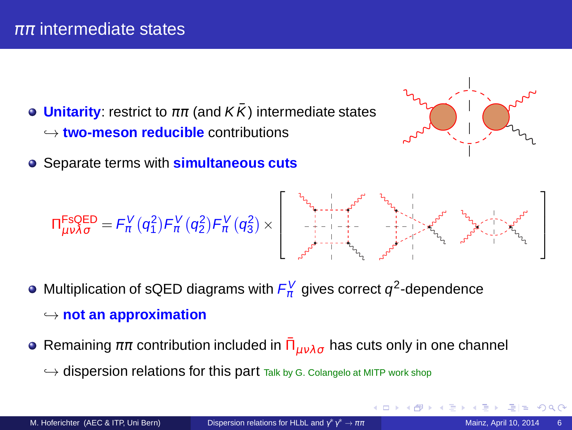- **Unitarity:** restrict to  $\pi\pi$  (and  $K\bar{K}$ ) intermediate states ֒→ **two-meson reducible** contributions
- Separate terms with **simultaneous cuts**

<span id="page-7-0"></span>

$$
\Pi_{\mu\nu\lambda\sigma}^{FSQED} = \mathit{F}^{V}_{\pi}(q^{2}_{1})\mathit{F}^{V}_{\pi}(q^{2}_{2})\mathit{F}^{V}_{\pi}(q^{2}_{3})\times \\ \left[\begin{array}{c} \mathbf{1}_{\mathbf{1}_{\mathbf{1}_{\mathbf{1}_{\mathbf{1}_{\mathbf{1}_{\mathbf{1}_{\mathbf{1}_{\mathbf{1}_{\mathbf{1}}\mathbf{1}_{\mathbf{1}_{\mathbf{1}}\mathbf{1}_{\mathbf{1}}\mathbf{1}_{\mathbf{1}_{\mathbf{1}}\mathbf{1}_{\mathbf{1}}\mathbf{1}_{\mathbf{1}}\mathbf{1}_{\mathbf{1}}\mathbf{1}_{\mathbf{1}}\mathbf{1}_{\mathbf{1}_{\mathbf{1}}\mathbf{1}_{\mathbf{1}}\mathbf{1}_{\mathbf{1}}\mathbf{1}_{\mathbf{1}}\mathbf{1}_{\mathbf{1}_{\mathbf{1}}\mathbf{1}_{\mathbf{1}}\mathbf{1}_{\mathbf{1}}\mathbf{1}_{\mathbf{1}}\mathbf{1}_{\mathbf{1}}\mathbf{1}_{\mathbf{1}}\mathbf{1}_{\mathbf{1}}\mathbf{1}_{\mathbf{1}}\mathbf{1}_{\mathbf{1}}\mathbf{1}_{\mathbf{1}}\mathbf{1}_{\mathbf{1}}\mathbf{1}_{\mathbf{1}}\mathbf{1}_{\mathbf{1}}\mathbf{1}_{\mathbf{1}}\mathbf{1}_{\mathbf{1}}\mathbf{1}_{\mathbf{1}}\mathbf{1}_{\mathbf{1}}\mathbf{1}_{\mathbf{1}}\mathbf{1}_{\mathbf{1}}\mathbf{1}_{\mathbf{1}}\mathbf{1}_{\mathbf{1}}\mathbf{1}_{\mathbf{1}}\mathbf{1}_{\mathbf{1}}\mathbf{1}_{\mathbf{1}}\mathbf{1}_{\mathbf{1}}\mathbf{1}_{\mathbf{1}}\mathbf{1}_{\mathbf{1}}\mathbf{1}_{\mathbf{1}}\mathbf{1}_{\mathbf{1}}\mathbf{1}_{\mathbf{1}}\mathbf{1}_{\mathbf{1}}\mathbf{1}_{\mathbf{1}}\mathbf{1}_{\mathbf{1}}\mathbf{1}_{\mathbf{1}}\mathbf{1}_{\mathbf{1}}\mathbf{1}_{\mathbf{1}}\mathbf{1}_{\mathbf{1}}\mathbf{1}_{\mathbf{1}}\mathbf{
$$

- Multiplication of sQED diagrams with  $F_{\pi}^V$  gives correct  $q^2$ -dependence
	- ֒→ **not an approximation**
- Remaining  $\pi\pi$  contribution included in  $\bar{\Pi}_{\mu\nu\lambda\sigma}$  has cuts only in one channel
	- $\hookrightarrow$  dispersion relations for this part Talk by G. Colangelo at MITP work shop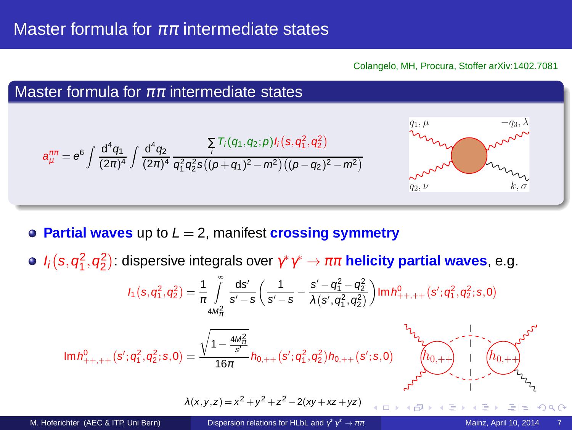Colangelo, MH, Procura, Stoffer arXiv:1402.7081



**Partial waves** up to  $L = 2$ , manifest **crossing symmetry** 

 $I_i(s,q_1^2,q_2^2)$ : dispersive integrals over  $\gamma^*\gamma^*\to\pi\pi$  **helicity partial waves**, e.g.

$$
I_1(s,q_1^2,q_2^2) = \frac{1}{\pi} \int_{4M_{\pi}^2}^{\infty} \frac{ds'}{s'-s} \left( \frac{1}{s'-s} - \frac{s'-q_1^2-q_2^2}{\lambda(s',q_1^2,q_2^2)} \right) \text{Im } h_{++,++}^0(s';q_1^2,q_2^2;s,0)
$$

$$
\text{Im}\, \textit{h}^{0}_{++,++}\big(\textit{s}';\textit{q}^{2}_{1},\textit{q}^{2}_{2}; \textit{s},0\big) = \frac{\sqrt{1-\frac{4M_{\pi}^{2}}{\textit{s}^{\prime}}}}{16\pi} \textit{h}_{0,++}\big(\textit{s}';\textit{q}^{2}_{1},\textit{q}^{2}_{2}\big) \textit{h}_{0,++}\big(\textit{s}';\textit{s},0\big)
$$

<span id="page-8-0"></span>
$$
\begin{picture}(180,10) \put(0,0){\line(1,0){180}} \put(10,0){\line(1,0){180}} \put(10,0){\line(1,0){180}} \put(10,0){\line(1,0){180}} \put(10,0){\line(1,0){180}} \put(10,0){\line(1,0){180}} \put(10,0){\line(1,0){180}} \put(10,0){\line(1,0){180}} \put(10,0){\line(1,0){180}} \put(10,0){\line(1,0){180}} \put(10,0){\line(1,0){180}} \put(10,0){\line(1,0){180}} \put(10,0){\line(1,0){180}} \put(10,0){\line(1,0){180}} \put(10,0){\line(1,0){180}} \put(10,0){\line(1,0){180}} \put(10,0){\line(1,0){180}} \put(10,0){\line(1,0){180}} \put(10,0){\line(1,0){180}} \put(10,0){\line(1,0){180}} \put(10,0){\line(1,0){180}} \put(10,0){\line(1,0){180}} \put(10,0){\line(1,0){180}} \put(10,0){\line(1,0){180}} \put(10,0){\line(1,0){180}} \put(10,0){\line(1,0){180}} \put(10,0){\line(1,0){180}} \put(10,0){\line(1,0){180}} \put(10,0){\line(1,0){180}} \put(10,0){\line(1,0){180}} \put(10,0){\line(1,0){180}} \put(10,0){\line(1,0){180}} \put(10,0){\line(1,0){180}} \put(10,0){\line(1,0){180}} \put(10,0){\line(1,0){180}} \put(10,0){\line(1,0){180}} \put(10,0){\line(1,0){180}} \put(10,0){\line(1,0){180}} \put(10,0){\line(1,0){180}} \put(10,0){
$$

$$
\lambda(x, y, z) = x^2 + y^2 + z^2 - 2(xy + xz + yz)
$$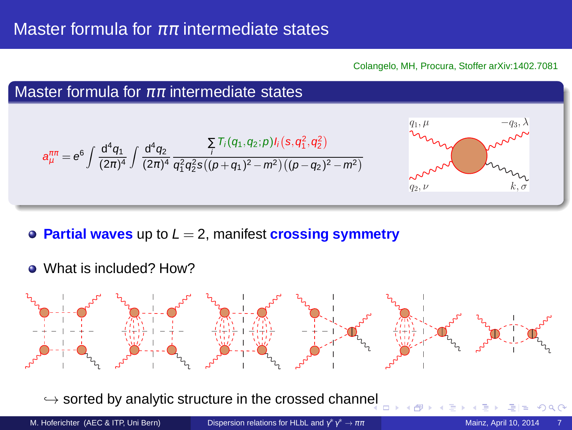Colangelo, MH, Procura, Stoffer arXiv:1402.7081



- **Partial waves** up to  $L = 2$ , manifest **crossing symmetry**
- What is included? How?



 $\hookrightarrow$  sorted by analytic structure in the crossed chann[el](#page-8-0)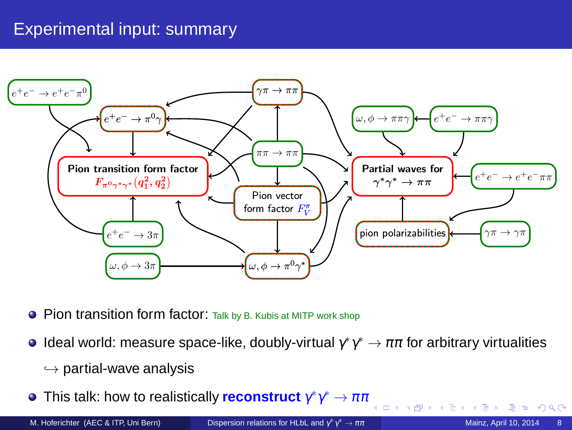# Experimental input: summary



- **Pion transition form factor:** Talk by B. Kubis at MITP work shop
- Ideal world: measure space-like, doubly-virtual  $\gamma^*\gamma^* \to \pi\pi$  for arbitrary virtualities
	- $\hookrightarrow$  partial-wave analysis
- This talk: how to realistically <mark>reconstruct</mark>  $γ^*γ^* → ππ$

€ ⊡ ≯i

<span id="page-10-0"></span> $= \Omega Q$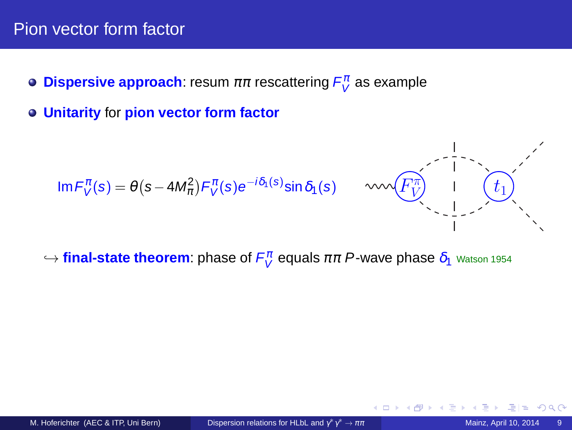## Pion vector form factor

- **Dispersive approach**: resum  $\pi\pi$  rescattering  $F_V^{\pi}$  as example
- **Unitarity** for **pion vector form factor**

$$
\text{Im}\,F_V^{\pi}(s) = \theta\left(s - 4M_{\pi}^2\right)F_V^{\pi}(s)e^{-i\delta_1(s)}\sin\delta_1(s)
$$



 $\hookrightarrow$  **final-state theorem**: phase of  $F_V^\pi$  equals  $\pi\pi$   $P$ -wave phase  $\delta_1$  <sub>Watson 1954</sub>

<span id="page-11-0"></span>4日)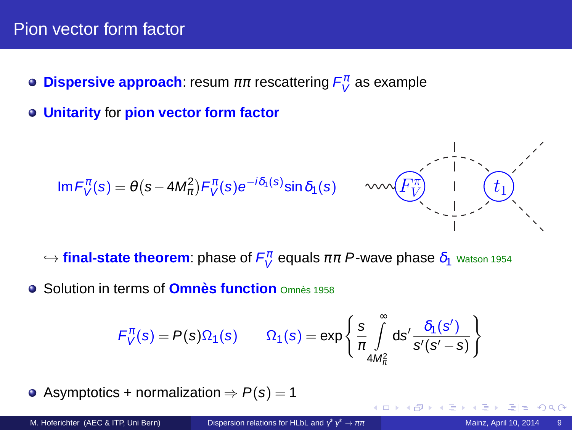## Pion vector form factor

- **Dispersive approach**: resum  $\pi\pi$  rescattering  $F_V^{\pi}$  as example
- **Unitarity** for **pion vector form factor**

$$
\text{Im}\,F_V^{\pi}(s)=\theta\left(s-4M_{\pi}^2\right)F_V^{\pi}(s)e^{-i\delta_1(s)}\text{sin}\,\delta_1(s)\qquad\text{and}\qquad
$$



- $\hookrightarrow$  **final-state theorem**: phase of  $F_V^\pi$  equals  $\pi\pi$   $P$ -wave phase  $\delta_1$  <sub>Watson 1954</sub>
- **•** Solution in terms of **Omnès function** Omnès 1958

$$
F_V^{\pi}(s) = P(s)\Omega_1(s) \qquad \Omega_1(s) = \exp\left\{\frac{s}{\pi} \int_{4M_{\pi}^2}^{\infty} ds' \frac{\delta_1(s')}{s'(s'-s)}\right\}
$$

Asymptotics + normalization  $\Rightarrow P(s) = 1$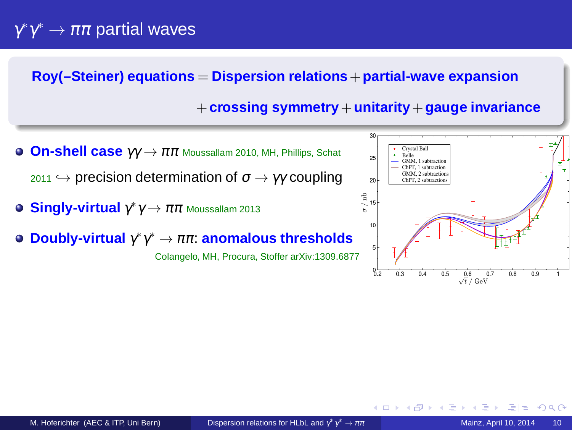# $\gamma^*\gamma^*\to\pi\pi$  partial waves

#### **Roy(–Steiner) equations** = **Dispersion relations**+**partial-wave expansion**

#### +**crossing symmetry**+**unitarity**+**gauge invariance**

- **On-shell case** γγ →  $ππ$  Moussallam 2010, MH, Phillips, Schat  $_{2011} \leftrightarrow$  precision determination of  $\sigma \rightarrow \gamma \gamma$  coupling
- **Singly-virtual** <sup>γ</sup> ∗ <sup>γ</sup> → ππ Moussallam 2013
- **Doubly-virtual** <sup>γ</sup> ∗ γ <sup>∗</sup> → ππ: **anomalous thresholds**

Colangelo, MH, Procura, Stoffer arXiv:1309.6877



 $\Omega$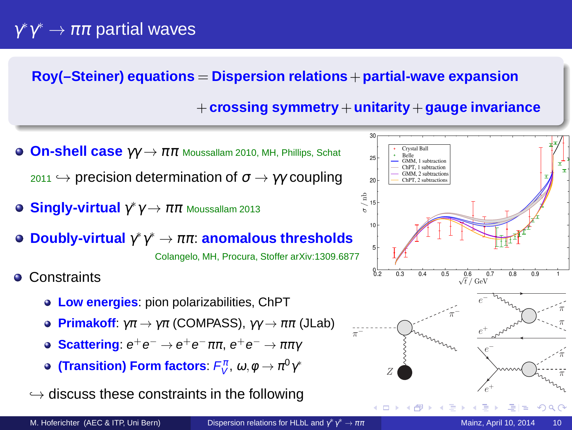# $\gamma^*\gamma^*\to\pi\pi$  partial waves

#### **Roy(–Steiner) equations** = **Dispersion relations**+**partial-wave expansion**

### +**crossing symmetry**+**unitarity**+**gauge invariance**

- **On-shell case**  $γγ \rightarrow ππ$  Moussallam 2010, MH, Phillips, Schat  $_{2011} \leftrightarrow$  precision determination of  $\sigma \rightarrow \gamma \gamma$  coupling
- **Singly-virtual** <sup>γ</sup> ∗ <sup>γ</sup> → ππ Moussallam 2013
- **Doubly-virtual** <sup>γ</sup> ∗ γ <sup>∗</sup> → ππ: **anomalous thresholds** Colangelo, MH, Procura, Stoffer arXiv:1309.6877

**• Constraints** 

- **Low energies**: pion polarizabilities, ChPT
- **Primakoff:**  $\gamma \pi \rightarrow \gamma \pi$  (COMPASS),  $\gamma \gamma \rightarrow \pi \pi$  (JLab)
- $\textbf{Scattering: } e^+e^- \rightarrow e^+e^-\pi\pi, \, e^+e^- \rightarrow \pi\pi\gamma$
- **(Transition) Form factors:**  $F_{V}^{\pi}, \omega, \phi \rightarrow \pi^{0}\gamma^{*}$

 $\hookrightarrow$  discuss these constraints in the following

<span id="page-14-0"></span>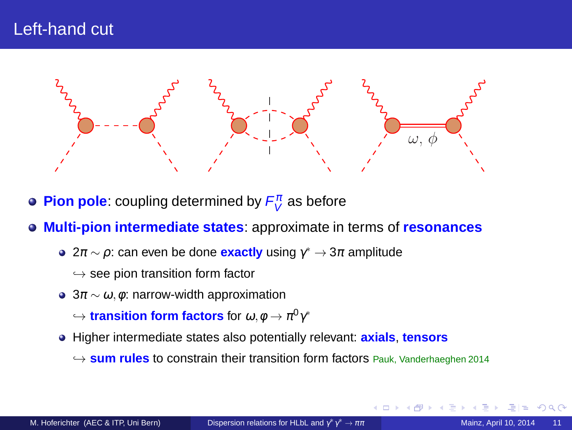# Left-hand cut



- **Pion pole**: coupling determined by  $F^\pi_V$  as before
- **Multi-pion intermediate states**: approximate in terms of **resonances**
	- 2 $\pi$   $\sim$   $\rho$ : can even be done **exactly** using  $\gamma^* \rightarrow 3\pi$  amplitude
		- $\hookrightarrow$  see pion transition form factor
	- $3\pi \sim \omega, \phi$ : narrow-width approximation

 $\hookrightarrow$  transition form factors for  $\omega, \phi \rightarrow \pi^{0}\gamma^{*}$ 

- Higher intermediate states also potentially relevant: **axials**, **tensors**
	- ֒→ **sum rules** to constrain their transition form factors Pauk, Vanderhaeghen 2014

<span id="page-15-0"></span> $\alpha$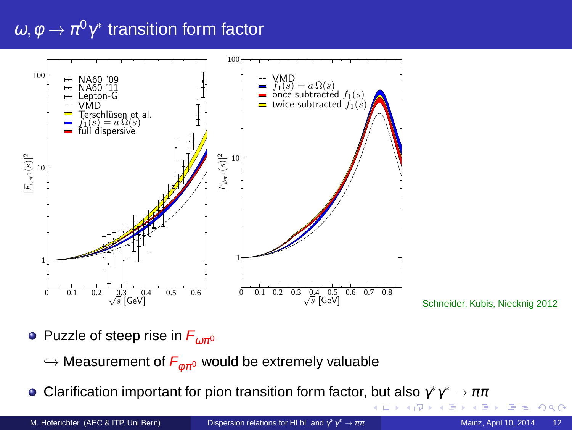# $\omega, \phi \rightarrow \pi^{0}\gamma^{*}$  transition form factor



Schneider, Kubis, Niecknig 2012

- Puzzle of steep rise in  $F_{\omega\pi^0}$ 
	- $\hookrightarrow$  Measurement of  $F_{\phi \pi^0}$  would be extremely valuable
- Clarification important for pion transition form factor, but also  $\gamma^*\gamma^*\to\pi\pi$

M. Hoferichter (AEC & ITP, Uni Bern)

Dispersion relations for HLbL and  $\gamma^* \gamma^* \to \pi \pi$ 

 $\leftarrow$   $\Box$ 

<span id="page-16-0"></span> $QQ$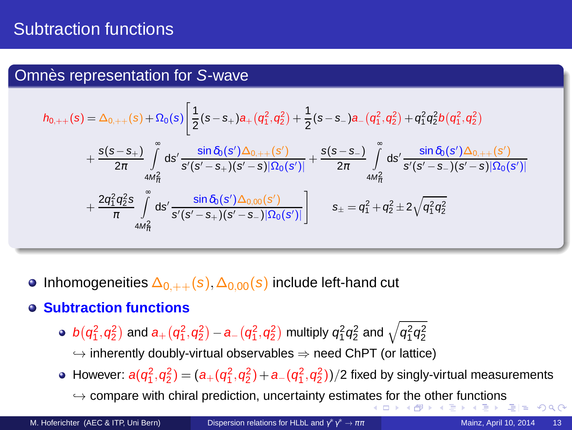# Subtraction functions

### Omnès representation for S-wave

$$
\begin{aligned} h_{0,++}(s)&=\Delta_{0,++}(s)+\Omega_{0}(s)\Bigg[\frac{1}{2}(s-s_{+})a_{+}(q_{1}^{2},q_{2}^{2})+\frac{1}{2}(s-s_{-})a_{-}(q_{1}^{2},q_{2}^{2})+q_{1}^{2}q_{2}^{2}b(q_{1}^{2},q_{2}^{2}) \\ &+\frac{s(s-s_{+})}{2\pi}\int\limits_{4M_{\pi}^{2}}^{\infty}ds'\frac{\sin\delta_{0}(s')\Delta_{0,++}(s')}{s'(s'-s_{+})(s'-s)|\Omega_{0}(s')|}+\frac{s(s-s_{-})}{2\pi}\int\limits_{4M_{\pi}^{2}}^{\infty}ds'\frac{\sin\delta_{0}(s')\Delta_{0,++}(s')}{s'(s'-s_{-})(s'-s)|\Omega_{0}(s')|} \\ &+\frac{2q_{1}^{2}q_{2}^{2}s}{\pi}\int\limits_{4M_{\pi}^{2}}^{\infty}ds'\frac{\sin\delta_{0}(s')\Delta_{0,00}(s')}{s'(s'-s_{+})(s'-s_{-})|\Omega_{0}(s')|} \Bigg] \qquad s_{\pm}=q_{1}^{2}+q_{2}^{2}\pm2\sqrt{q_{1}^{2}q_{2}^{2}} \end{aligned}
$$

• Inhomogeneities  $\Delta_{0,++}(s),\Delta_{0,00}(s)$  include left-hand cut

#### **Subtraction functions**

 $b\big(q_1^2, q_2^2\big)$  and  $a_+\big(q_1^2, q_2^2\big) - a_-\big(q_1^2, q_2^2\big)$  multiply  $q_1^2 q_2^2$  and  $\sqrt{q_1^2 q_2^2}$ 

 $\rightarrow$  inherently doubly-virtual observables  $\Rightarrow$  need ChPT (or lattice)

- However:  $a(q_1^2, q_2^2) = (a_+(q_1^2, q_2^2) + a_-(q_1^2, q_2^2))/2$  fixed by singly-virtual measurements
	- $\rightarrow$  $\rightarrow$  $\rightarrow$  $\rightarrow$  $\rightarrow$  compare with chiral prediction, uncertainty estima[tes](#page-16-0) f[or](#page-18-0) [th](#page-16-0)[e](#page-17-0) [ot](#page-18-0)h[er](#page-15-0) [f](#page-19-0)[u](#page-20-0)[nc](#page-10-0)[ti](#page-11-0)o[n](#page-25-0)[s](#page-0-0)

<span id="page-17-0"></span> $2Q$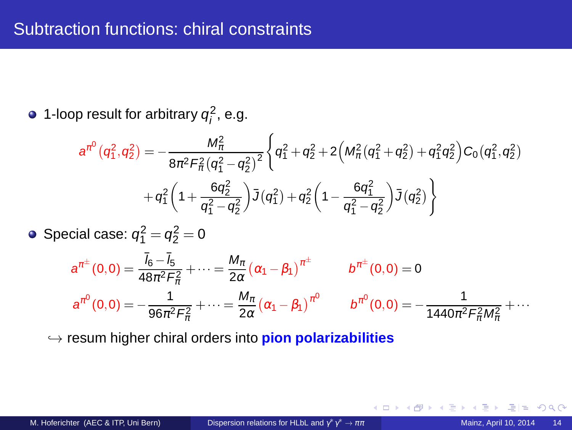1-loop result for arbitrary  $q_i^2$ , e.g.

$$
a^{\pi^{0}}(q_{1}^{2},q_{2}^{2}) = -\frac{M_{\pi}^{2}}{8\pi^{2}F_{\pi}^{2}(q_{1}^{2}-q_{2}^{2})^{2}} \Biggl\{ q_{1}^{2}+q_{2}^{2}+2\Bigl(M_{\pi}^{2}(q_{1}^{2}+q_{2}^{2})+q_{1}^{2}q_{2}^{2}\Bigr) C_{0}(q_{1}^{2},q_{2}^{2}) + q_{1}^{2}\Biggl(1+\frac{6q_{2}^{2}}{q_{1}^{2}-q_{2}^{2}}\Bigr) \bar{J}(q_{1}^{2})+q_{2}^{2}\Biggl(1-\frac{6q_{1}^{2}}{q_{1}^{2}-q_{2}^{2}}\Bigr) \bar{J}(q_{2}^{2}) \Biggr\}
$$

Special case:  $q_1^2 = q_2^2 = 0$ 

$$
a^{\pi^{\pm}}(0,0) = \frac{\bar{I}_6 - \bar{I}_5}{48\pi^2 F_{\pi}^2} + \dots = \frac{M_{\pi}}{2\alpha} (\alpha_1 - \beta_1)^{\pi^{\pm}} \qquad b^{\pi^{\pm}}(0,0) = 0
$$
  

$$
a^{\pi^0}(0,0) = -\frac{1}{96\pi^2 F_{\pi}^2} + \dots = \frac{M_{\pi}}{2\alpha} (\alpha_1 - \beta_1)^{\pi^0} \qquad b^{\pi^0}(0,0) = -\frac{1}{1440\pi^2 F_{\pi}^2 M_{\pi}^2} + \dots
$$

֒→ resum higher chiral orders into **pion polarizabilities**

4日)

<span id="page-18-0"></span>つへへ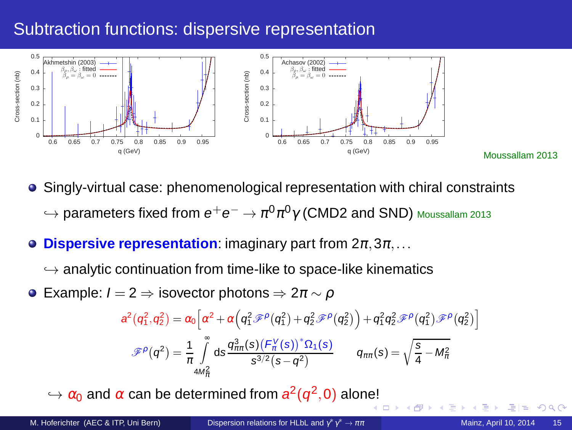# Subtraction functions: dispersive representation



Singly-virtual case: phenomenological representation with chiral constraints  $\hookrightarrow$  parameters fixed from  $e^+e^-\rightarrow\pi^0\pi^0\gamma$  (CMD2 and SND) <code>Moussallam</code> 2013

- **Dispersive representation:** imaginary part from  $2\pi, 3\pi, \ldots$  $\bullet$ 
	- $\hookrightarrow$  analytic continuation from time-like to space-like kinematics
- $\bullet$  Example:  $I = 2 \Rightarrow$  isovector photons  $\Rightarrow 2\pi \sim \rho$

$$
\begin{aligned} a^2\left(q_1^2,q_2^2\right)&=\alpha_0\Big[\alpha^2+\alpha\Big(q_1^2\mathscr{F}^{\rho}\left(q_1^2\right)+q_2^2\mathscr{F}^{\rho}\left(q_2^2\right)\Big)+q_1^2q_2^2\mathscr{F}^{\rho}\left(q_1^2\right)\mathscr{F}^{\rho}\left(q_2^2\right)\\ \mathscr{F}^{\rho}\left(q^2\right)&=\frac{1}{\pi}\int\limits_{4M_{\pi}^2}^{\infty}ds\frac{q_{\pi\pi}^3(s)\left(F_{\kappa}^V(s)\right)^*\Omega_1(s)}{s^{3/2}(s-q^2)}\qquad q_{\pi\pi}(s)=\sqrt{\frac{s}{4}-M_{\pi}^2} \end{aligned}
$$

 $\hookrightarrow \alpha_0$  and  $\alpha$  can be determined from  $a^2(q^2,0)$  alon[e!](#page-18-0)

<span id="page-19-0"></span> $\alpha$ 

i

Moussallam 2013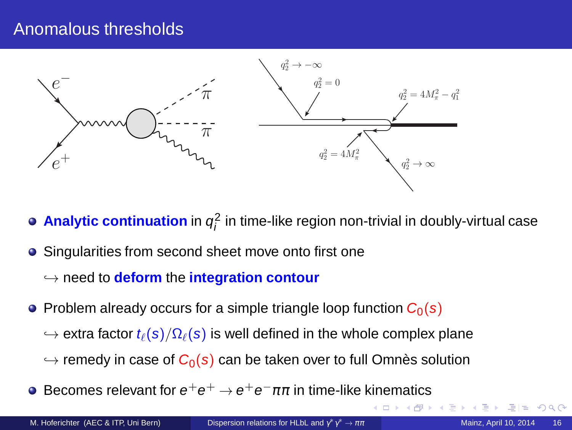## Anomalous thresholds



- **Analytic continuation** in  $q_i^2$  in time-like region non-trivial in doubly-virtual case
- Singularities from second sheet move onto first one
	- ֒→ need to **deform** the **integration contour**
- Problem already occurs for a simple triangle loop function  $C_0(s)$ 
	- $\rightarrow$  extra factor  $t_{\ell}(s)/\Omega_{\ell}(s)$  is well defined in the whole complex plane
	- $\hookrightarrow$  remedy in case of  $C_0(s)$  can be taken over to full Omnès solution
- Becomes relevant for  $e^+e^+\to e^+e^-\pi\pi$  in time-like kinematics  $\bullet$

<span id="page-20-0"></span>つへへ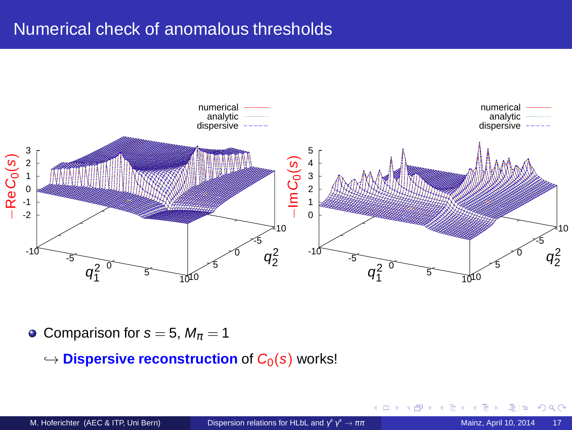# Numerical check of anomalous thresholds



• Comparison for  $s = 5$ ,  $M_{\pi} = 1$ 

 $\hookrightarrow$  **Dispersive reconstruction** of  $C_0(s)$  works!

4日)

 $2Q$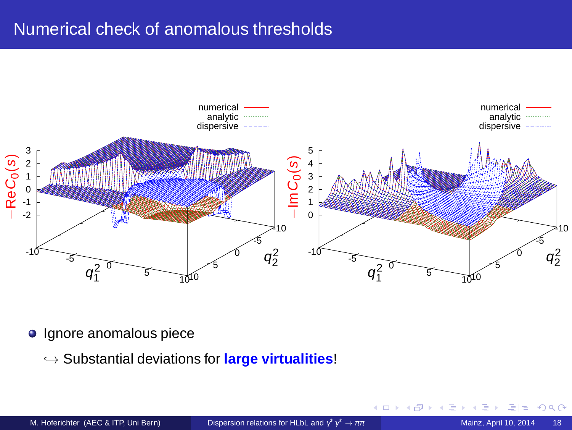# Numerical check of anomalous thresholds



• Ignore anomalous piece

֒→ Substantial deviations for **large virtualities**!

4日)

つへへ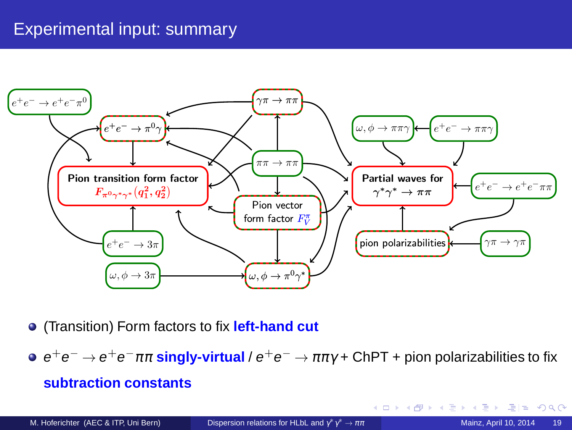# Experimental input: summary



- (Transition) Form factors to fix **left-hand cut**
- $e^+e^-\rightarrow e^+e^-\pi\pi$  singly-virtual /  $e^+e^-\rightarrow\pi\pi\gamma$  + ChPT + pion polarizabilities to fix **subtraction constants**

M. Hoferichter (AEC & ITP, Uni Bern) [Dispersion relations for HLbL and](#page-0-0)  $\gamma^*\gamma$ 

 $E|E \cap Q$ 

ぼう メモト

**← ロ ▶ → 伊**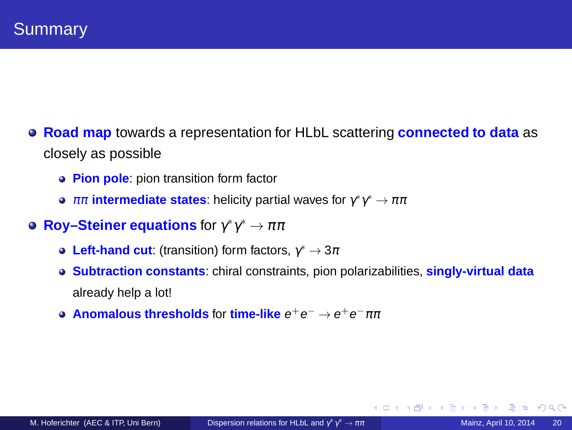- **Road map** towards a representation for HLbL scattering **connected to data** as closely as possible
	- **Pion pole**: pion transition form factor
	- $\pi\pi$  **intermediate states:** helicity partial waves for  $\gamma^*\gamma^* \to \pi\pi$
- **Roy–Steiner equations** for  $\gamma^*\gamma^* \to \pi\pi$ 
	- **Left-hand cut:** (transition) form factors,  $\gamma^* \to 3\pi$
	- **Subtraction constants**: chiral constraints, pion polarizabilities, **singly-virtual data** already help a lot!
	- **Anomalous thresholds** for time-like  $e^+e^- \rightarrow e^+e^-\pi\pi$

<span id="page-24-0"></span> $E \cap Q$ 

**← ロ ▶ → 伊**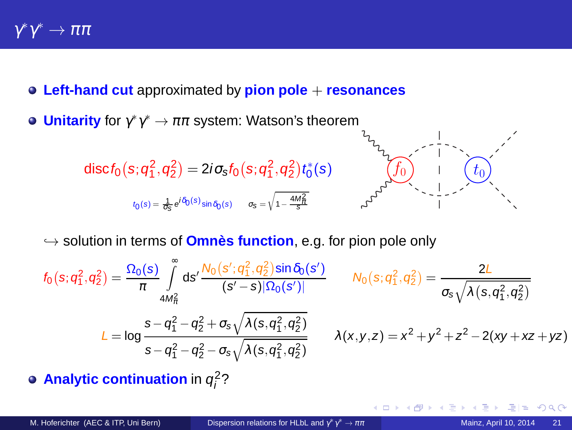- **Left-hand cut** approximated by **pion pole** + **resonances**
- **Unitarity** for  $\gamma^* \gamma^* \to \pi \pi$  system: Watson's theorem





→ solution in terms of **Omnès function**, e.g. for pion pole only

$$
f_0(s; q_1^2, q_2^2) = \frac{\Omega_0(s)}{\pi} \int_{4M_R^2}^{\infty} ds' \frac{N_0(s'; q_1^2, q_2^2) \sin \delta_0(s')}{(s'-s)|\Omega_0(s')|} \qquad N_0(s; q_1^2, q_2^2) = \frac{2L}{\sigma_s \sqrt{\lambda(s, q_1^2, q_2^2)}}
$$
  
\n
$$
L = \log \frac{s - q_1^2 - q_2^2 + \sigma_s \sqrt{\lambda(s, q_1^2, q_2^2)}}{s - q_1^2 - q_2^2 - \sigma_s \sqrt{\lambda(s, q_1^2, q_2^2)}} \qquad \lambda(x, y, z) = x^2 + y^2 + z^2 - 2(xy + xz + yz)
$$

4 0 8

**Analytic continuation** in  $q_i^2$ ?

<span id="page-25-0"></span>つひへ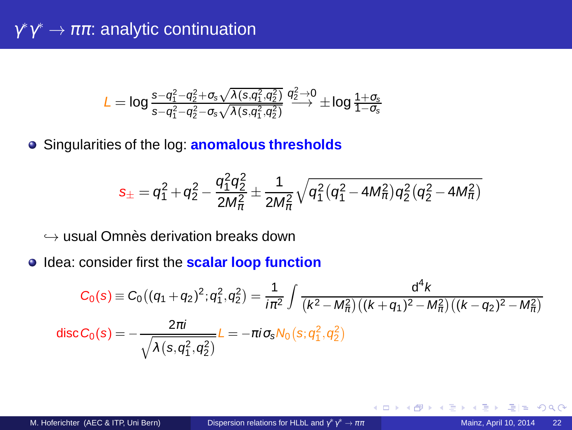$$
L = \text{log} \, \tfrac{s - q_1^2 - q_2^2 + \sigma_s \sqrt{\lambda(s, q_1^2, q_2^2)}}{s - q_1^2 - q_2^2 - \sigma_s \sqrt{\lambda(s, q_1^2, q_2^2)}} \stackrel{q_2^2 \rightarrow 0}{\longrightarrow} \pm \text{log} \, \tfrac{1 + \sigma_s}{1 - \sigma_s}
$$

Singularities of the log: **anomalous thresholds**

$$
s_{\pm}=q_{1}^{2}+q_{2}^{2}-\frac{q_{1}^{2}q_{2}^{2}}{2M_{\pi}^{2}}\pm\frac{1}{2M_{\pi}^{2}}\sqrt{q_{1}^{2}\big(q_{1}^{2}-4M_{\pi}^{2}\big)q_{2}^{2}\big(q_{2}^{2}-4M_{\pi}^{2}\big)}
$$

 $\hookrightarrow$  usual Omnès derivation breaks down

**Idea: consider first the scalar loop function** 

$$
C_0(s) \equiv C_0 \left( (q_1 + q_2)^2; q_1^2, q_2^2 \right) = \frac{1}{i\pi^2} \int \frac{d^4 k}{\left( k^2 - M_{\pi}^2 \right) \left( (k + q_1)^2 - M_{\pi}^2 \right) \left( (k - q_2)^2 - M_{\pi}^2 \right)}
$$
  
disc  $C_0(s) = -\frac{2\pi i}{\sqrt{\lambda(s, q_1^2, q_2^2)}} L = -\pi i \sigma_s N_0 \left( s; q_1^2, q_2^2 \right)$ 

4日)

 $\Omega$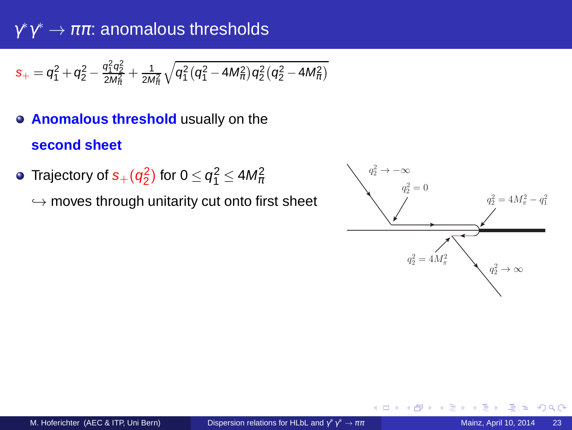$\gamma^*\gamma^*\to\pi\pi$ : anomalous thresholds

$$
s_+ = q_1^2 + q_2^2 - \frac{q_1^2 q_2^2}{2 M_\pi^2} + \frac{1}{2 M_\pi^2} \sqrt{q_1^2 (q_1^2 - 4 M_\pi^2) q_2^2 (q_2^2 - 4 M_\pi^2)}
$$

- **Anomalous threshold** usually on the **second sheet**
- Trajectory of  $s_+(q_2^2)$  for  $0 \leq q_1^2 \leq 4 M_\pi^2$

 $\hookrightarrow$  moves through unitarity cut onto first sheet



4日 8

つへへ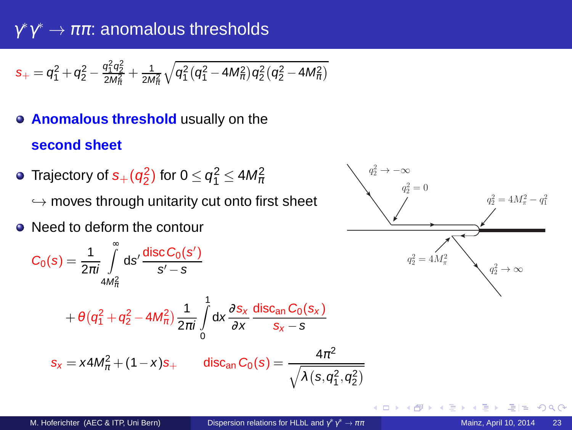$\gamma^*\gamma^*\to\pi\pi$ : anomalous thresholds

$$
s_+ = q_1^2 + q_2^2 - \frac{q_1^2 q_2^2}{2 M_\pi^2} + \frac{1}{2 M_\pi^2} \sqrt{q_1^2 (q_1^2 - 4 M_\pi^2) q_2^2 (q_2^2 - 4 M_\pi^2)}
$$

- **Anomalous threshold** usually on the **second sheet**
- Trajectory of  $s_+(q_2^2)$  for  $0 \leq q_1^2 \leq 4 M_\pi^2$  $\hookrightarrow$  moves through unitarity cut onto first sheet
- Need to deform the contour

$$
C_0(s) = \frac{1}{2\pi i} \int_{4M_{\pi}^2}^{\infty} ds' \frac{\operatorname{disc} C_0(s')}{s' - s}
$$
  
+  $\theta (q_1^2 + q_2^2 - 4M_{\pi}^2) \frac{1}{2\pi i} \int_{0}^{1} dx \frac{\partial s_x}{\partial x} \frac{\operatorname{disc}_{an} C_0(s_x)}{s_x - s}$   
 $s_x = x4M_{\pi}^2 + (1 - x)s_+$   $\operatorname{disc}_{an} C_0(s) = \frac{4\pi^2}{\sqrt{\lambda(s, q_1^2, q_2^2)}}$ 



 $2Q$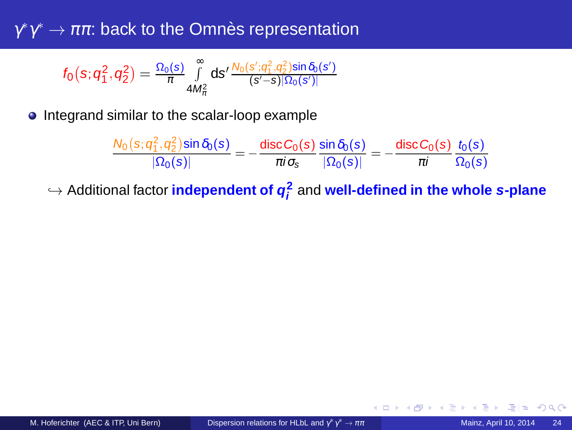$\gamma^*\gamma^*\to\pi\pi$ : back to the Omnès representation

$$
f_0\big(s;q_1^2,q_2^2\big)=\tfrac{\Omega_0(s)}{\pi}\smallint\limits_{4M_\pi^2}^\infty ds'\tfrac{N_0(s';q_1^2,q_2^2)sin\delta_0(s')}{(s'-s)|\Omega_0(s')|}
$$

• Integrand similar to the scalar-loop example

| $N_0(s; q_1^2, q_2^2)$ sin $\delta_0(s)$ | disc $C_0(s)$ sin $\delta_0(s)$ |                                  | disc $C_0(s)$ $t_0(s)$     |  |
|------------------------------------------|---------------------------------|----------------------------------|----------------------------|--|
| $ \Omega_0(s) $                          |                                 | $\pi i \sigma_s$ $ \Omega_0(s) $ | $\pi i \qquad \Omega_0(s)$ |  |

֒→ Additional factor **independent of q 2 i** and **well-defined in the whole s-plane**

4日)

 $Q$  $Q$